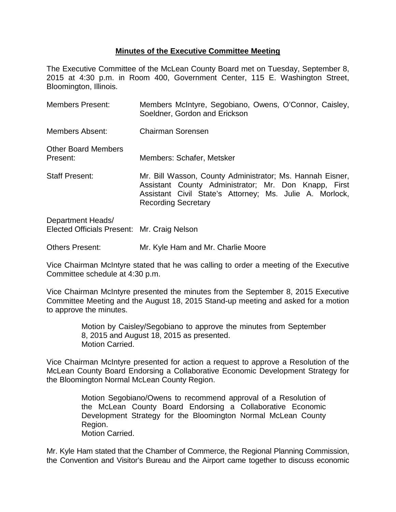## **Minutes of the Executive Committee Meeting**

The Executive Committee of the McLean County Board met on Tuesday, September 8, 2015 at 4:30 p.m. in Room 400, Government Center, 115 E. Washington Street, Bloomington, Illinois.

| <b>Members Present:</b>                | Members McIntyre, Segobiano, Owens, O'Connor, Caisley,<br>Soeldner, Gordon and Erickson                                                                                                                    |
|----------------------------------------|------------------------------------------------------------------------------------------------------------------------------------------------------------------------------------------------------------|
| Members Absent:                        | <b>Chairman Sorensen</b>                                                                                                                                                                                   |
| <b>Other Board Members</b><br>Present: | Members: Schafer, Metsker                                                                                                                                                                                  |
| <b>Staff Present:</b>                  | Mr. Bill Wasson, County Administrator; Ms. Hannah Eisner,<br>Assistant County Administrator; Mr. Don Knapp, First<br>Assistant Civil State's Attorney; Ms. Julie A. Morlock,<br><b>Recording Secretary</b> |

Department Heads/ Elected Officials Present: Mr. Craig Nelson

Others Present: Mr. Kyle Ham and Mr. Charlie Moore

Vice Chairman McIntyre stated that he was calling to order a meeting of the Executive Committee schedule at 4:30 p.m.

Vice Chairman McIntyre presented the minutes from the September 8, 2015 Executive Committee Meeting and the August 18, 2015 Stand-up meeting and asked for a motion to approve the minutes.

> Motion by Caisley/Segobiano to approve the minutes from September 8, 2015 and August 18, 2015 as presented. Motion Carried.

Vice Chairman McIntyre presented for action a request to approve a Resolution of the McLean County Board Endorsing a Collaborative Economic Development Strategy for the Bloomington Normal McLean County Region.

> Motion Segobiano/Owens to recommend approval of a Resolution of the McLean County Board Endorsing a Collaborative Economic Development Strategy for the Bloomington Normal McLean County Region. Motion Carried.

Mr. Kyle Ham stated that the Chamber of Commerce, the Regional Planning Commission, the Convention and Visitor's Bureau and the Airport came together to discuss economic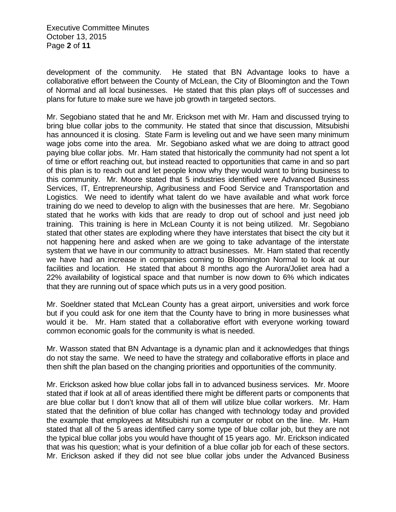development of the community. He stated that BN Advantage looks to have a collaborative effort between the County of McLean, the City of Bloomington and the Town of Normal and all local businesses. He stated that this plan plays off of successes and plans for future to make sure we have job growth in targeted sectors.

Mr. Segobiano stated that he and Mr. Erickson met with Mr. Ham and discussed trying to bring blue collar jobs to the community. He stated that since that discussion, Mitsubishi has announced it is closing. State Farm is leveling out and we have seen many minimum wage jobs come into the area. Mr. Segobiano asked what we are doing to attract good paying blue collar jobs. Mr. Ham stated that historically the community had not spent a lot of time or effort reaching out, but instead reacted to opportunities that came in and so part of this plan is to reach out and let people know why they would want to bring business to this community. Mr. Moore stated that 5 industries identified were Advanced Business Services, IT, Entrepreneurship, Agribusiness and Food Service and Transportation and Logistics. We need to identify what talent do we have available and what work force training do we need to develop to align with the businesses that are here. Mr. Segobiano stated that he works with kids that are ready to drop out of school and just need job training. This training is here in McLean County it is not being utilized. Mr. Segobiano stated that other states are exploding where they have interstates that bisect the city but it not happening here and asked when are we going to take advantage of the interstate system that we have in our community to attract businesses. Mr. Ham stated that recently we have had an increase in companies coming to Bloomington Normal to look at our facilities and location. He stated that about 8 months ago the Aurora/Joliet area had a 22% availability of logistical space and that number is now down to 6% which indicates that they are running out of space which puts us in a very good position.

Mr. Soeldner stated that McLean County has a great airport, universities and work force but if you could ask for one item that the County have to bring in more businesses what would it be. Mr. Ham stated that a collaborative effort with everyone working toward common economic goals for the community is what is needed.

Mr. Wasson stated that BN Advantage is a dynamic plan and it acknowledges that things do not stay the same. We need to have the strategy and collaborative efforts in place and then shift the plan based on the changing priorities and opportunities of the community.

Mr. Erickson asked how blue collar jobs fall in to advanced business services. Mr. Moore stated that if look at all of areas identified there might be different parts or components that are blue collar but I don't know that all of them will utilize blue collar workers. Mr. Ham stated that the definition of blue collar has changed with technology today and provided the example that employees at Mitsubishi run a computer or robot on the line. Mr. Ham stated that all of the 5 areas identified carry some type of blue collar job, but they are not the typical blue collar jobs you would have thought of 15 years ago. Mr. Erickson indicated that was his question; what is your definition of a blue collar job for each of these sectors. Mr. Erickson asked if they did not see blue collar jobs under the Advanced Business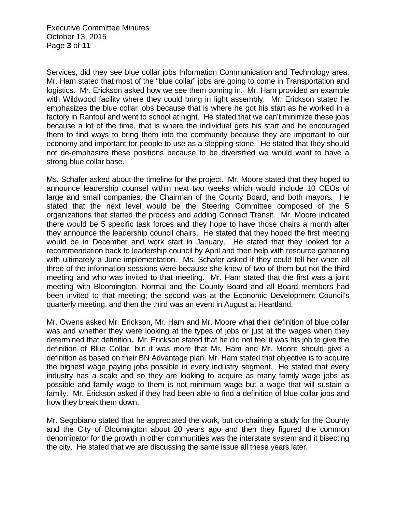Executive Committee Minutes October 13, 2015 Page **3** of **11**

Services, did they see blue collar jobs Information Communication and Technology area. Mr. Ham stated that most of the "blue collar" jobs are going to come in Transportation and logistics. Mr. Erickson asked how we see them coming in. Mr. Ham provided an example with Wildwood facility where they could bring in light assembly. Mr. Erickson stated he emphasizes the blue collar jobs because that is where he got his start as he worked in a factory in Rantoul and went to school at night. He stated that we can't minimize these jobs because a lot of the time, that is where the individual gets his start and he encouraged them to find ways to bring them into the community because they are important to our economy and important for people to use as a stepping stone. He stated that they should not de-emphasize these positions because to be diversified we would want to have a strong blue collar base.

Ms. Schafer asked about the timeline for the project. Mr. Moore stated that they hoped to announce leadership counsel within next two weeks which would include 10 CEOs of large and small companies, the Chairman of the County Board, and both mayors. He stated that the next level would be the Steering Committee composed of the 5 organizations that started the process and adding Connect Transit. Mr. Moore indicated there would be 5 specific task forces and they hope to have those chairs a month after they announce the leadership council chairs. He stated that they hoped the first meeting would be in December and work start in January. He stated that they looked for a recommendation back to leadership council by April and then help with resource gathering with ultimately a June implementation. Ms. Schafer asked if they could tell her when all three of the information sessions were because she knew of two of them but not the third meeting and who was invited to that meeting. Mr. Ham stated that the first was a joint meeting with Bloomington, Normal and the County Board and all Board members had been invited to that meeting; the second was at the Economic Development Council's quarterly meeting, and then the third was an event in August at Heartland.

Mr. Owens asked Mr. Erickson, Mr. Ham and Mr. Moore what their definition of blue collar was and whether they were looking at the types of jobs or just at the wages when they determined that definition. Mr. Erickson stated that he did not feel it was his job to give the definition of Blue Collar, but it was more that Mr. Ham and Mr. Moore should give a definition as based on their BN Advantage plan. Mr. Ham stated that objective is to acquire the highest wage paying jobs possible in every industry segment. He stated that every industry has a scale and so they are looking to acquire as many family wage jobs as possible and family wage to them is not minimum wage but a wage that will sustain a family. Mr. Erickson asked if they had been able to find a definition of blue collar jobs and how they break them down.

Mr. Segobiano stated that he appreciated the work, but co-chairing a study for the County and the City of Bloomington about 20 years ago and then they figured the common denominator for the growth in other communities was the interstate system and it bisecting the city. He stated that we are discussing the same issue all these years later.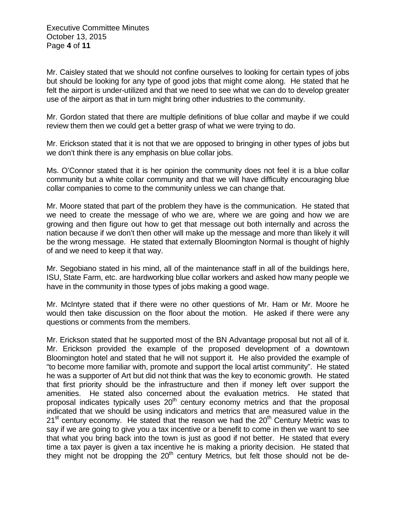Mr. Caisley stated that we should not confine ourselves to looking for certain types of jobs but should be looking for any type of good jobs that might come along. He stated that he felt the airport is under-utilized and that we need to see what we can do to develop greater use of the airport as that in turn might bring other industries to the community.

Mr. Gordon stated that there are multiple definitions of blue collar and maybe if we could review them then we could get a better grasp of what we were trying to do.

Mr. Erickson stated that it is not that we are opposed to bringing in other types of jobs but we don't think there is any emphasis on blue collar jobs.

Ms. O'Connor stated that it is her opinion the community does not feel it is a blue collar community but a white collar community and that we will have difficulty encouraging blue collar companies to come to the community unless we can change that.

Mr. Moore stated that part of the problem they have is the communication. He stated that we need to create the message of who we are, where we are going and how we are growing and then figure out how to get that message out both internally and across the nation because if we don't then other will make up the message and more than likely it will be the wrong message. He stated that externally Bloomington Normal is thought of highly of and we need to keep it that way.

Mr. Segobiano stated in his mind, all of the maintenance staff in all of the buildings here, ISU, State Farm, etc. are hardworking blue collar workers and asked how many people we have in the community in those types of jobs making a good wage.

Mr. McIntyre stated that if there were no other questions of Mr. Ham or Mr. Moore he would then take discussion on the floor about the motion. He asked if there were any questions or comments from the members.

Mr. Erickson stated that he supported most of the BN Advantage proposal but not all of it. Mr. Erickson provided the example of the proposed development of a downtown Bloomington hotel and stated that he will not support it. He also provided the example of "to become more familiar with, promote and support the local artist community". He stated he was a supporter of Art but did not think that was the key to economic growth. He stated that first priority should be the infrastructure and then if money left over support the amenities. He stated also concerned about the evaluation metrics. He stated that proposal indicates typically uses  $20<sup>th</sup>$  century economy metrics and that the proposal indicated that we should be using indicators and metrics that are measured value in the  $21<sup>st</sup>$  century economy. He stated that the reason we had the  $20<sup>th</sup>$  Century Metric was to say if we are going to give you a tax incentive or a benefit to come in then we want to see that what you bring back into the town is just as good if not better. He stated that every time a tax payer is given a tax incentive he is making a priority decision. He stated that they might not be dropping the  $20<sup>th</sup>$  century Metrics, but felt those should not be de-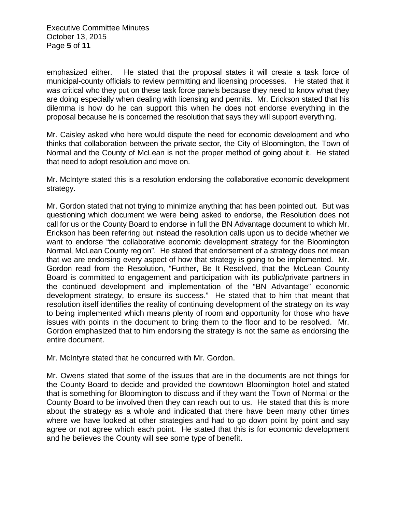Executive Committee Minutes October 13, 2015 Page **5** of **11**

emphasized either. He stated that the proposal states it will create a task force of municipal-county officials to review permitting and licensing processes. He stated that it was critical who they put on these task force panels because they need to know what they are doing especially when dealing with licensing and permits. Mr. Erickson stated that his dilemma is how do he can support this when he does not endorse everything in the proposal because he is concerned the resolution that says they will support everything.

Mr. Caisley asked who here would dispute the need for economic development and who thinks that collaboration between the private sector, the City of Bloomington, the Town of Normal and the County of McLean is not the proper method of going about it. He stated that need to adopt resolution and move on.

Mr. McIntyre stated this is a resolution endorsing the collaborative economic development strategy.

Mr. Gordon stated that not trying to minimize anything that has been pointed out. But was questioning which document we were being asked to endorse, the Resolution does not call for us or the County Board to endorse in full the BN Advantage document to which Mr. Erickson has been referring but instead the resolution calls upon us to decide whether we want to endorse "the collaborative economic development strategy for the Bloomington Normal, McLean County region". He stated that endorsement of a strategy does not mean that we are endorsing every aspect of how that strategy is going to be implemented. Mr. Gordon read from the Resolution, "Further, Be It Resolved, that the McLean County Board is committed to engagement and participation with its public/private partners in the continued development and implementation of the "BN Advantage" economic development strategy, to ensure its success." He stated that to him that meant that resolution itself identifies the reality of continuing development of the strategy on its way to being implemented which means plenty of room and opportunity for those who have issues with points in the document to bring them to the floor and to be resolved. Mr. Gordon emphasized that to him endorsing the strategy is not the same as endorsing the entire document.

Mr. McIntyre stated that he concurred with Mr. Gordon.

Mr. Owens stated that some of the issues that are in the documents are not things for the County Board to decide and provided the downtown Bloomington hotel and stated that is something for Bloomington to discuss and if they want the Town of Normal or the County Board to be involved then they can reach out to us. He stated that this is more about the strategy as a whole and indicated that there have been many other times where we have looked at other strategies and had to go down point by point and say agree or not agree which each point. He stated that this is for economic development and he believes the County will see some type of benefit.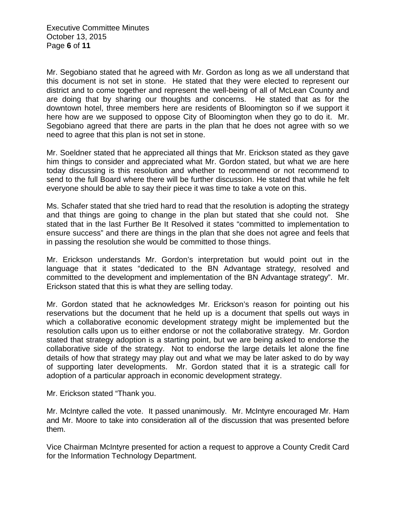Mr. Segobiano stated that he agreed with Mr. Gordon as long as we all understand that this document is not set in stone. He stated that they were elected to represent our district and to come together and represent the well-being of all of McLean County and are doing that by sharing our thoughts and concerns. He stated that as for the downtown hotel, three members here are residents of Bloomington so if we support it here how are we supposed to oppose City of Bloomington when they go to do it. Mr. Segobiano agreed that there are parts in the plan that he does not agree with so we need to agree that this plan is not set in stone.

Mr. Soeldner stated that he appreciated all things that Mr. Erickson stated as they gave him things to consider and appreciated what Mr. Gordon stated, but what we are here today discussing is this resolution and whether to recommend or not recommend to send to the full Board where there will be further discussion. He stated that while he felt everyone should be able to say their piece it was time to take a vote on this.

Ms. Schafer stated that she tried hard to read that the resolution is adopting the strategy and that things are going to change in the plan but stated that she could not. She stated that in the last Further Be It Resolved it states "committed to implementation to ensure success" and there are things in the plan that she does not agree and feels that in passing the resolution she would be committed to those things.

Mr. Erickson understands Mr. Gordon's interpretation but would point out in the language that it states "dedicated to the BN Advantage strategy, resolved and committed to the development and implementation of the BN Advantage strategy". Mr. Erickson stated that this is what they are selling today.

Mr. Gordon stated that he acknowledges Mr. Erickson's reason for pointing out his reservations but the document that he held up is a document that spells out ways in which a collaborative economic development strategy might be implemented but the resolution calls upon us to either endorse or not the collaborative strategy. Mr. Gordon stated that strategy adoption is a starting point, but we are being asked to endorse the collaborative side of the strategy. Not to endorse the large details let alone the fine details of how that strategy may play out and what we may be later asked to do by way of supporting later developments. Mr. Gordon stated that it is a strategic call for adoption of a particular approach in economic development strategy.

Mr. Erickson stated "Thank you.

Mr. McIntyre called the vote. It passed unanimously. Mr. McIntyre encouraged Mr. Ham and Mr. Moore to take into consideration all of the discussion that was presented before them.

Vice Chairman McIntyre presented for action a request to approve a County Credit Card for the Information Technology Department.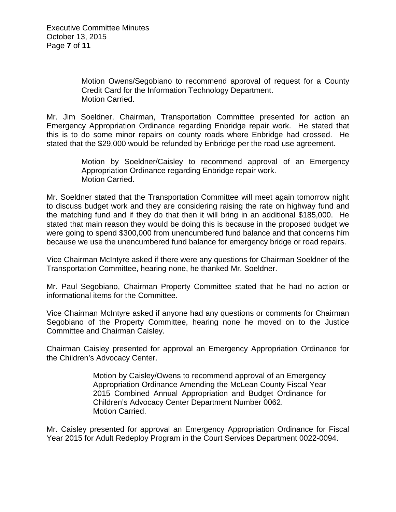Motion Owens/Segobiano to recommend approval of request for a County Credit Card for the Information Technology Department. Motion Carried.

Mr. Jim Soeldner, Chairman, Transportation Committee presented for action an Emergency Appropriation Ordinance regarding Enbridge repair work. He stated that this is to do some minor repairs on county roads where Enbridge had crossed. He stated that the \$29,000 would be refunded by Enbridge per the road use agreement.

> Motion by Soeldner/Caisley to recommend approval of an Emergency Appropriation Ordinance regarding Enbridge repair work. Motion Carried.

Mr. Soeldner stated that the Transportation Committee will meet again tomorrow night to discuss budget work and they are considering raising the rate on highway fund and the matching fund and if they do that then it will bring in an additional \$185,000. He stated that main reason they would be doing this is because in the proposed budget we were going to spend \$300,000 from unencumbered fund balance and that concerns him because we use the unencumbered fund balance for emergency bridge or road repairs.

Vice Chairman McIntyre asked if there were any questions for Chairman Soeldner of the Transportation Committee, hearing none, he thanked Mr. Soeldner.

Mr. Paul Segobiano, Chairman Property Committee stated that he had no action or informational items for the Committee.

Vice Chairman McIntyre asked if anyone had any questions or comments for Chairman Segobiano of the Property Committee, hearing none he moved on to the Justice Committee and Chairman Caisley.

Chairman Caisley presented for approval an Emergency Appropriation Ordinance for the Children's Advocacy Center.

> Motion by Caisley/Owens to recommend approval of an Emergency Appropriation Ordinance Amending the McLean County Fiscal Year 2015 Combined Annual Appropriation and Budget Ordinance for Children's Advocacy Center Department Number 0062. Motion Carried.

Mr. Caisley presented for approval an Emergency Appropriation Ordinance for Fiscal Year 2015 for Adult Redeploy Program in the Court Services Department 0022-0094.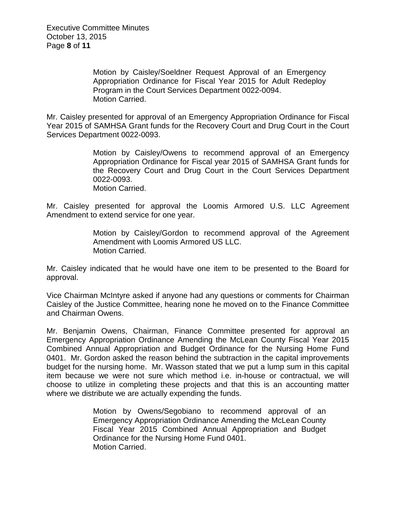Motion by Caisley/Soeldner Request Approval of an Emergency Appropriation Ordinance for Fiscal Year 2015 for Adult Redeploy Program in the Court Services Department 0022-0094. Motion Carried.

Mr. Caisley presented for approval of an Emergency Appropriation Ordinance for Fiscal Year 2015 of SAMHSA Grant funds for the Recovery Court and Drug Court in the Court Services Department 0022-0093.

> Motion by Caisley/Owens to recommend approval of an Emergency Appropriation Ordinance for Fiscal year 2015 of SAMHSA Grant funds for the Recovery Court and Drug Court in the Court Services Department 0022-0093. Motion Carried.

Mr. Caisley presented for approval the Loomis Armored U.S. LLC Agreement Amendment to extend service for one year.

> Motion by Caisley/Gordon to recommend approval of the Agreement Amendment with Loomis Armored US LLC. Motion Carried.

Mr. Caisley indicated that he would have one item to be presented to the Board for approval.

Vice Chairman McIntyre asked if anyone had any questions or comments for Chairman Caisley of the Justice Committee, hearing none he moved on to the Finance Committee and Chairman Owens.

Mr. Benjamin Owens, Chairman, Finance Committee presented for approval an Emergency Appropriation Ordinance Amending the McLean County Fiscal Year 2015 Combined Annual Appropriation and Budget Ordinance for the Nursing Home Fund 0401. Mr. Gordon asked the reason behind the subtraction in the capital improvements budget for the nursing home. Mr. Wasson stated that we put a lump sum in this capital item because we were not sure which method i.e. in-house or contractual, we will choose to utilize in completing these projects and that this is an accounting matter where we distribute we are actually expending the funds.

> Motion by Owens/Segobiano to recommend approval of an Emergency Appropriation Ordinance Amending the McLean County Fiscal Year 2015 Combined Annual Appropriation and Budget Ordinance for the Nursing Home Fund 0401. Motion Carried.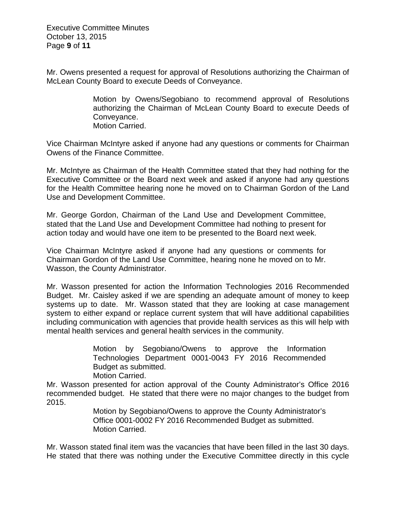Executive Committee Minutes October 13, 2015 Page **9** of **11**

Mr. Owens presented a request for approval of Resolutions authorizing the Chairman of McLean County Board to execute Deeds of Conveyance.

> Motion by Owens/Segobiano to recommend approval of Resolutions authorizing the Chairman of McLean County Board to execute Deeds of Conveyance. Motion Carried.

Vice Chairman McIntyre asked if anyone had any questions or comments for Chairman Owens of the Finance Committee.

Mr. McIntyre as Chairman of the Health Committee stated that they had nothing for the Executive Committee or the Board next week and asked if anyone had any questions for the Health Committee hearing none he moved on to Chairman Gordon of the Land Use and Development Committee.

Mr. George Gordon, Chairman of the Land Use and Development Committee, stated that the Land Use and Development Committee had nothing to present for action today and would have one item to be presented to the Board next week.

Vice Chairman McIntyre asked if anyone had any questions or comments for Chairman Gordon of the Land Use Committee, hearing none he moved on to Mr. Wasson, the County Administrator.

Mr. Wasson presented for action the Information Technologies 2016 Recommended Budget. Mr. Caisley asked if we are spending an adequate amount of money to keep systems up to date. Mr. Wasson stated that they are looking at case management system to either expand or replace current system that will have additional capabilities including communication with agencies that provide health services as this will help with mental health services and general health services in the community.

> Motion by Segobiano/Owens to approve the Information Technologies Department 0001-0043 FY 2016 Recommended Budget as submitted. Motion Carried.

Mr. Wasson presented for action approval of the County Administrator's Office 2016 recommended budget. He stated that there were no major changes to the budget from 2015.

> Motion by Segobiano/Owens to approve the County Administrator's Office 0001-0002 FY 2016 Recommended Budget as submitted. Motion Carried.

Mr. Wasson stated final item was the vacancies that have been filled in the last 30 days. He stated that there was nothing under the Executive Committee directly in this cycle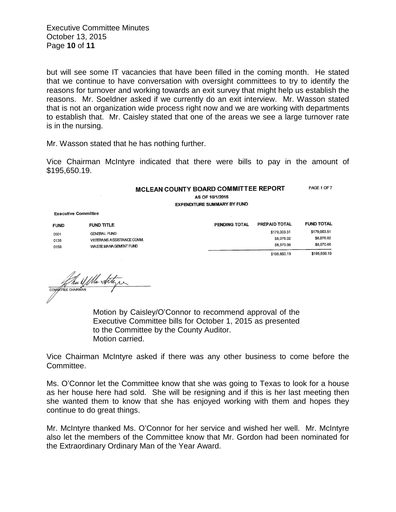Executive Committee Minutes October 13, 2015 Page **10** of **11**

but will see some IT vacancies that have been filled in the coming month. He stated that we continue to have conversation with oversight committees to try to identify the reasons for turnover and working towards an exit survey that might help us establish the reasons. Mr. Soeldner asked if we currently do an exit interview. Mr. Wasson stated that is not an organization wide process right now and we are working with departments to establish that. Mr. Caisley stated that one of the areas we see a large turnover rate is in the nursing.

Mr. Wasson stated that he has nothing further.

Vice Chairman McIntyre indicated that there were bills to pay in the amount of \$195,650.19.

|                     | MCLEAN COUNTY BOARD COMMITTEE REPORT<br>AS OF 10/1/2015<br><b>EXPENDITURE SUMMARY BY FUND</b> |               | PAGE 1 OF 7       |
|---------------------|-----------------------------------------------------------------------------------------------|---------------|-------------------|
| ve Committee        |                                                                                               |               |                   |
| <b>FUND TITLE</b>   | PENDING TOTAL                                                                                 | PREPAID TOTAL | <b>FUND TOTAL</b> |
| <b>GENERAL FUND</b> |                                                                                               | \$179,003.51  | \$179,003.51      |
|                     |                                                                                               | \$8,076,02    | \$8,076.02        |

\$8,570.66 \$195,650.19

| <u>vvv i</u> | ----------                |              |  |
|--------------|---------------------------|--------------|--|
| 0136         | VETERANS ASSISTANCE COMM. | \$8,076.02   |  |
| 0159         | WASTE MANAGEMENT FUND     | \$8,570.66   |  |
|              |                           | \$195,650.19 |  |
|              |                           |              |  |
|              |                           |              |  |

CONTRATE CHARGERS

Executi **FUND**  $0001$ 

> Motion by Caisley/O'Connor to recommend approval of the Executive Committee bills for October 1, 2015 as presented to the Committee by the County Auditor. Motion carried.

Vice Chairman McIntyre asked if there was any other business to come before the Committee.

Ms. O'Connor let the Committee know that she was going to Texas to look for a house as her house here had sold. She will be resigning and if this is her last meeting then she wanted them to know that she has enjoyed working with them and hopes they continue to do great things.

Mr. McIntyre thanked Ms. O'Connor for her service and wished her well. Mr. McIntyre also let the members of the Committee know that Mr. Gordon had been nominated for the Extraordinary Ordinary Man of the Year Award.